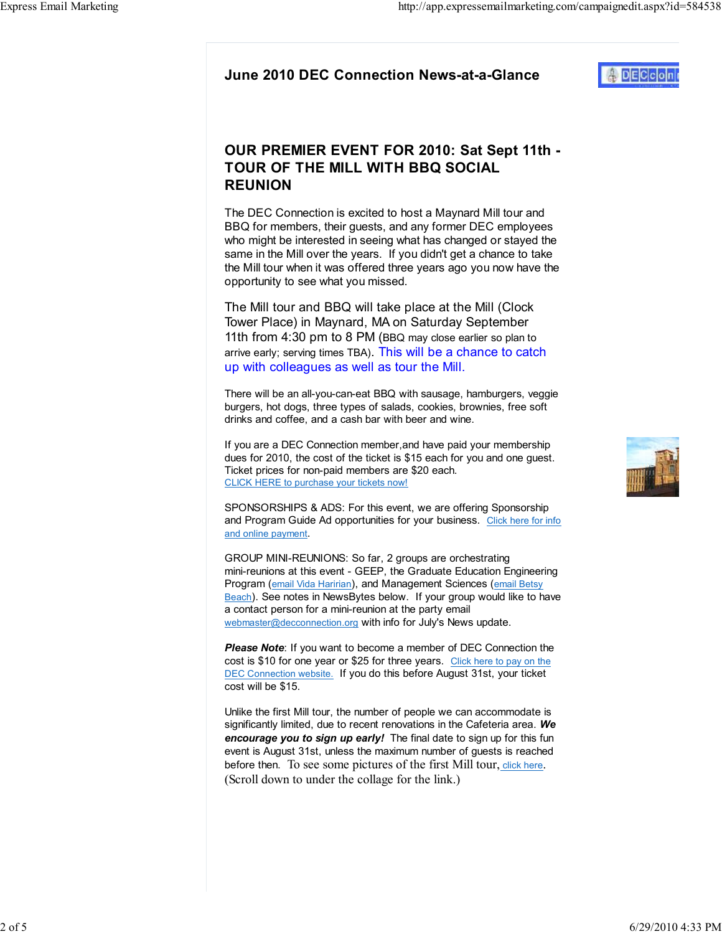## OUR PREMIER EVENT FOR 2010: Sat Sept 11th - TOUR OF THE MILL WITH BBQ SOCIAL REUNION

The DEC Connection is excited to host a Maynard Mill tour and BBQ for members, their guests, and any former DEC employees who might be interested in seeing what has changed or stayed the same in the Mill over the years. If you didn't get a chance to take the Mill tour when it was offered three years ago you now have the opportunity to see what you missed.

The Mill tour and BBQ will take place at the Mill (Clock Tower Place) in Maynard, MA on Saturday September 11th from 4:30 pm to 8 PM (BBQ may close earlier so plan to arrive early; serving times TBA). This will be a chance to catch up with colleagues as well as tour the Mill.

There will be an all-you-can-eat BBQ with sausage, hamburgers, veggie burgers, hot dogs, three types of salads, cookies, brownies, free soft drinks and coffee, and a cash bar with beer and wine.

If you are a DEC Connection member,and have paid your membership dues for 2010, the cost of the ticket is \$15 each for you and one guest. Ticket prices for non-paid members are \$20 each. CLICK HERE to purchase your tickets now!

SPONSORSHIPS & ADS: For this event, we are offering Sponsorship and Program Guide Ad opportunities for your business. Click here for info and online payment.

GROUP MINI-REUNIONS: So far, 2 groups are orchestrating mini-reunions at this event - GEEP, the Graduate Education Engineering Program (email Vida Haririan), and Management Sciences (email Betsy Beach). See notes in NewsBytes below. If your group would like to have a contact person for a mini-reunion at the party email webmaster@decconnection.org with info for July's News update.

**Please Note:** If you want to become a member of DEC Connection the cost is \$10 for one year or \$25 for three years. Click here to pay on the DEC Connection website. If you do this before August 31st, your ticket cost will be \$15.

Unlike the first Mill tour, the number of people we can accommodate is significantly limited, due to recent renovations in the Cafeteria area. We encourage you to sign up early! The final date to sign up for this fun event is August 31st, unless the maximum number of guests is reached before then. To see some pictures of the first Mill tour, click here. (Scroll down to under the collage for the link.)

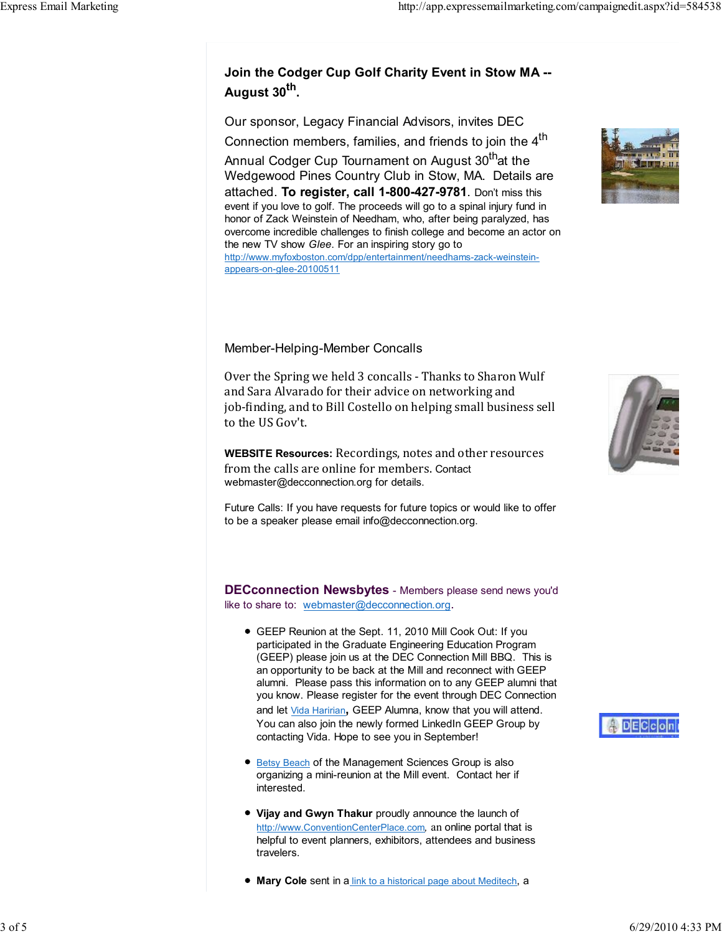## Join the Codger Cup Golf Charity Event in Stow MA -- August 30<sup>th</sup>.

Our sponsor, Legacy Financial Advisors, invites DEC Connection members, families, and friends to join the 4<sup>th</sup>

Annual Codger Cup Tournament on August 30<sup>th</sup>at the Wedgewood Pines Country Club in Stow, MA. Details are attached. To register, call 1-800-427-9781. Don't miss this event if you love to golf. The proceeds will go to a spinal injury fund in honor of Zack Weinstein of Needham, who, after being paralyzed, has overcome incredible challenges to finish college and become an actor on the new TV show Glee. For an inspiring story go to http://www.myfoxboston.com/dpp/entertainment/needhams-zack-weinsteinappears-on-glee-20100511

## Member-Helping-Member Concalls

Over the Spring we held 3 concalls - Thanks to Sharon Wulf and Sara Alvarado for their advice on networking and job-finding, and to Bill Costello on helping small business sell to the US Gov't.

WEBSITE Resources: Recordings, notes and other resources from the calls are online for members. Contact webmaster@decconnection.org for details.

Future Calls: If you have requests for future topics or would like to offer to be a speaker please email info@decconnection.org.

**DECconnection Newsbytes** - Members please send news you'd like to share to: webmaster@decconnection.org.

- GEEP Reunion at the Sept. 11, 2010 Mill Cook Out: If you participated in the Graduate Engineering Education Program (GEEP) please join us at the DEC Connection Mill BBQ. This is an opportunity to be back at the Mill and reconnect with GEEP alumni. Please pass this information on to any GEEP alumni that you know. Please register for the event through DEC Connection and let Vida Haririan, GEEP Alumna, know that you will attend. You can also join the newly formed LinkedIn GEEP Group by contacting Vida. Hope to see you in September!
- Betsy Beach of the Management Sciences Group is also organizing a mini-reunion at the Mill event. Contact her if interested.
- Vijay and Gwyn Thakur proudly announce the launch of http://www.ConventionCenterPlace.com, an online portal that is helpful to event planners, exhibitors, attendees and business travelers.
- **Mary Cole sent in a link to a historical page about Meditech, a**